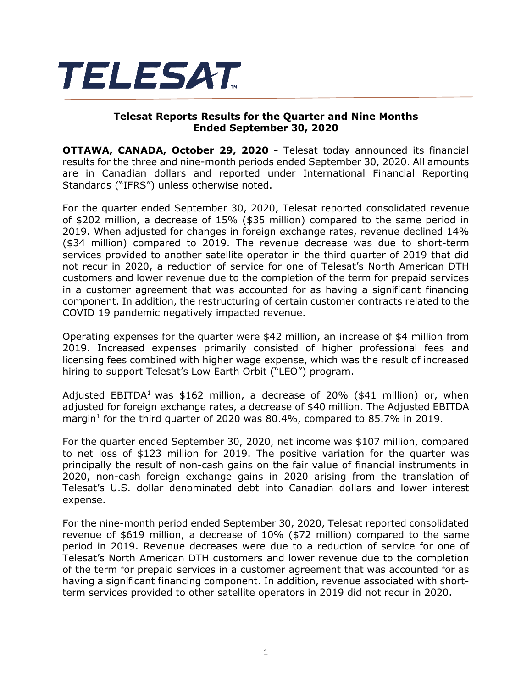

## **Telesat Reports Results for the Quarter and Nine Months Ended September 30, 2020**

**OTTAWA, CANADA, October 29, 2020 -** Telesat today announced its financial results for the three and nine-month periods ended September 30, 2020. All amounts are in Canadian dollars and reported under International Financial Reporting Standards ("IFRS") unless otherwise noted.

For the quarter ended September 30, 2020, Telesat reported consolidated revenue of \$202 million, a decrease of 15% (\$35 million) compared to the same period in 2019. When adjusted for changes in foreign exchange rates, revenue declined 14% (\$34 million) compared to 2019. The revenue decrease was due to short-term services provided to another satellite operator in the third quarter of 2019 that did not recur in 2020, a reduction of service for one of Telesat's North American DTH customers and lower revenue due to the completion of the term for prepaid services in a customer agreement that was accounted for as having a significant financing component. In addition, the restructuring of certain customer contracts related to the COVID 19 pandemic negatively impacted revenue.

Operating expenses for the quarter were \$42 million, an increase of \$4 million from 2019. Increased expenses primarily consisted of higher professional fees and licensing fees combined with higher wage expense, which was the result of increased hiring to support Telesat's Low Earth Orbit ("LEO") program.

Adjusted EBITDA<sup>1</sup> was \$162 million, a decrease of 20% (\$41 million) or, when adjusted for foreign exchange rates, a decrease of \$40 million. The Adjusted EBITDA margin<sup>1</sup> for the third quarter of 2020 was 80.4%, compared to 85.7% in 2019.

For the quarter ended September 30, 2020, net income was \$107 million, compared to net loss of \$123 million for 2019. The positive variation for the quarter was principally the result of non-cash gains on the fair value of financial instruments in 2020, non-cash foreign exchange gains in 2020 arising from the translation of Telesat's U.S. dollar denominated debt into Canadian dollars and lower interest expense.

For the nine-month period ended September 30, 2020, Telesat reported consolidated revenue of \$619 million, a decrease of 10% (\$72 million) compared to the same period in 2019. Revenue decreases were due to a reduction of service for one of Telesat's North American DTH customers and lower revenue due to the completion of the term for prepaid services in a customer agreement that was accounted for as having a significant financing component. In addition, revenue associated with shortterm services provided to other satellite operators in 2019 did not recur in 2020.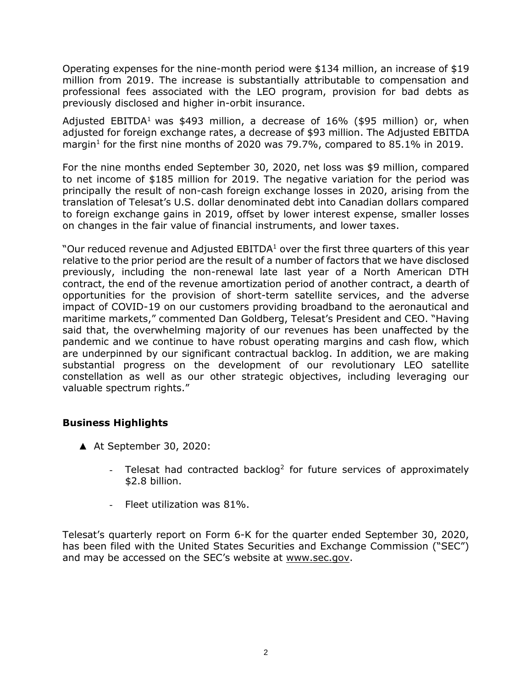Operating expenses for the nine-month period were \$134 million, an increase of \$19 million from 2019. The increase is substantially attributable to compensation and professional fees associated with the LEO program, provision for bad debts as previously disclosed and higher in-orbit insurance.

Adjusted EBITDA<sup>1</sup> was \$493 million, a decrease of  $16\%$  (\$95 million) or, when adjusted for foreign exchange rates, a decrease of \$93 million. The Adjusted EBITDA margin<sup>1</sup> for the first nine months of 2020 was 79.7%, compared to 85.1% in 2019.

For the nine months ended September 30, 2020, net loss was \$9 million, compared to net income of \$185 million for 2019. The negative variation for the period was principally the result of non-cash foreign exchange losses in 2020, arising from the translation of Telesat's U.S. dollar denominated debt into Canadian dollars compared to foreign exchange gains in 2019, offset by lower interest expense, smaller losses on changes in the fair value of financial instruments, and lower taxes.

"Our reduced revenue and Adjusted EBITDA $1$  over the first three quarters of this year relative to the prior period are the result of a number of factors that we have disclosed previously, including the non-renewal late last year of a North American DTH contract, the end of the revenue amortization period of another contract, a dearth of opportunities for the provision of short-term satellite services, and the adverse impact of COVID-19 on our customers providing broadband to the aeronautical and maritime markets," commented Dan Goldberg, Telesat's President and CEO. "Having said that, the overwhelming majority of our revenues has been unaffected by the pandemic and we continue to have robust operating margins and cash flow, which are underpinned by our significant contractual backlog. In addition, we are making substantial progress on the development of our revolutionary LEO satellite constellation as well as our other strategic objectives, including leveraging our valuable spectrum rights."

# **Business Highlights**

- ▲ At September 30, 2020:
	- Telesat had contracted backlog<sup>2</sup> for future services of approximately \$2.8 billion.
	- Fleet utilization was 81%.

Telesat's quarterly report on Form 6-K for the quarter ended September 30, 2020, has been filed with the United States Securities and Exchange Commission ("SEC") and may be accessed on the SEC's website at [www.sec.gov.](http://www.sec.gov/)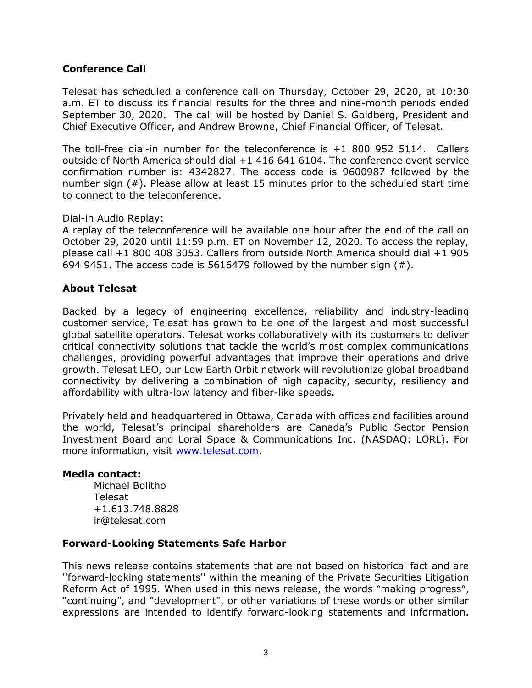## **Conference Call**

Telesat has scheduled a conference call on Thursday, October 29, 2020, at 10:30 a.m. ET to discuss its financial results for the three and nine-month periods ended September 30, 2020. The call will be hosted by Daniel S. Goldberg, President and Chief Executive Officer, and Andrew Browne, Chief Financial Officer, of Telesat.

The toll-free dial-in number for the teleconference is +1 800 952 5114. Callers outside of North America should dial +1 416 641 6104. The conference event service confirmation number is: 4342827. The access code is 9600987 followed by the number sign (#). Please allow at least 15 minutes prior to the scheduled start time to connect to the teleconference.

#### Dial-in Audio Replay:

A replay of the teleconference will be available one hour after the end of the call on October 29, 2020 until 11:59 p.m. ET on November 12, 2020. To access the replay, please call +1 800 408 3053. Callers from outside North America should dial +1 905 694 9451. The access code is 5616479 followed by the number sign  $(#)$ .

## **About Telesat**

Backed by a legacy of engineering excellence, reliability and industry-leading customer service, Telesat has grown to be one of the largest and most successful global satellite operators. Telesat works collaboratively with its customers to deliver critical connectivity solutions that tackle the world's most complex communications challenges, providing powerful advantages that improve their operations and drive growth. Telesat LEO, our Low Earth Orbit network will revolutionize global broadband connectivity by delivering a combination of high capacity, security, resiliency and affordability with ultra-low latency and fiber-like speeds.

Privately held and headquartered in Ottawa, Canada with offices and facilities around the world, Telesat's principal shareholders are Canada's Public Sector Pension Investment Board and Loral Space & Communications Inc. (NASDAQ: LORL). For more information, visit [www.telesat.com.](http://www.telesat.com/)

#### **Media contact:**

Michael Bolitho Telesat +1.613.748.8828 ir@telesat.com

## **Forward-Looking Statements Safe Harbor**

This news release contains statements that are not based on historical fact and are ''forward-looking statements'' within the meaning of the Private Securities Litigation Reform Act of 1995. When used in this news release, the words "making progress", "continuing", and "development", or other variations of these words or other similar expressions are intended to identify forward-looking statements and information.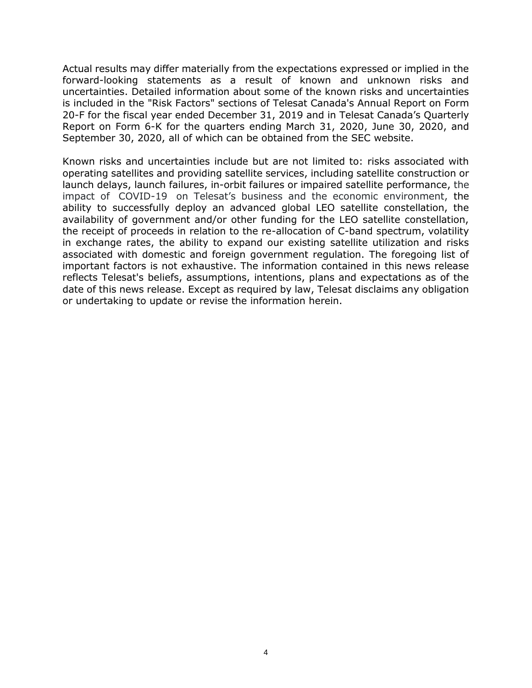Actual results may differ materially from the expectations expressed or implied in the forward-looking statements as a result of known and unknown risks and uncertainties. Detailed information about some of the known risks and uncertainties is included in the "Risk Factors" sections of Telesat Canada's Annual Report on Form 20-F for the fiscal year ended December 31, 2019 and in Telesat Canada's Quarterly Report on Form 6-K for the quarters ending March 31, 2020, June 30, 2020, and September 30, 2020, all of which can be obtained from the SEC website.

Known risks and uncertainties include but are not limited to: risks associated with operating satellites and providing satellite services, including satellite construction or launch delays, launch failures, in-orbit failures or impaired satellite performance, the impact of COVID-19 on Telesat's business and the economic environment, the ability to successfully deploy an advanced global LEO satellite constellation, the availability of government and/or other funding for the LEO satellite constellation, the receipt of proceeds in relation to the re-allocation of C-band spectrum, volatility in exchange rates, the ability to expand our existing satellite utilization and risks associated with domestic and foreign government regulation. The foregoing list of important factors is not exhaustive. The information contained in this news release reflects Telesat's beliefs, assumptions, intentions, plans and expectations as of the date of this news release. Except as required by law, Telesat disclaims any obligation or undertaking to update or revise the information herein.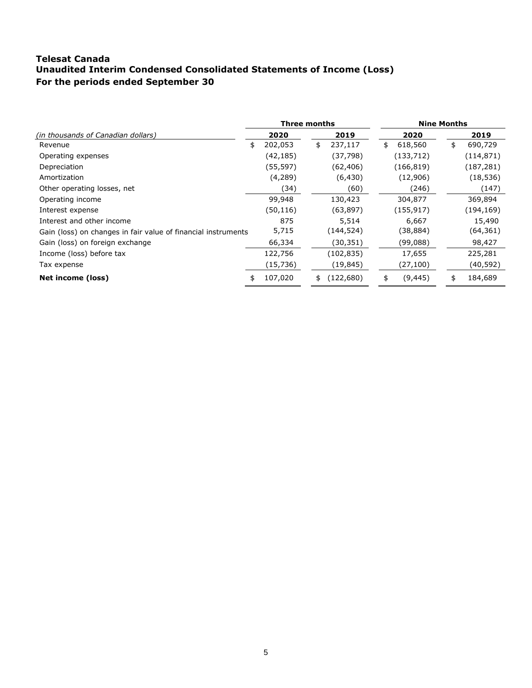## **Telesat Canada Unaudited Interim Condensed Consolidated Statements of Income (Loss) For the periods ended September 30**

|                                                               | Three months |           |    |            | <b>Nine Months</b> |            |    |            |
|---------------------------------------------------------------|--------------|-----------|----|------------|--------------------|------------|----|------------|
| (in thousands of Canadian dollars)                            |              | 2020      |    | 2019       |                    | 2020       |    | 2019       |
| Revenue                                                       | \$           | 202,053   | \$ | 237,117    | \$                 | 618,560    | \$ | 690,729    |
| Operating expenses                                            |              | (42,185)  |    | (37, 798)  |                    | (133, 712) |    | (114, 871) |
| Depreciation                                                  |              | (55, 597) |    | (62, 406)  |                    | (166, 819) |    | (187, 281) |
| Amortization                                                  |              | (4,289)   |    | (6, 430)   |                    | (12,906)   |    | (18, 536)  |
| Other operating losses, net                                   |              | (34)      |    | (60)       |                    | (246)      |    | (147)      |
| Operating income                                              |              | 99,948    |    | 130,423    |                    | 304,877    |    | 369,894    |
| Interest expense                                              |              | (50, 116) |    | (63, 897)  |                    | (155, 917) |    | (194, 169) |
| Interest and other income                                     |              | 875       |    | 5,514      |                    | 6,667      |    | 15,490     |
| Gain (loss) on changes in fair value of financial instruments |              | 5,715     |    | (144, 524) |                    | (38,884)   |    | (64, 361)  |
| Gain (loss) on foreign exchange                               |              | 66,334    |    | (30,351)   |                    | (99,088)   |    | 98,427     |
| Income (loss) before tax                                      |              | 122,756   |    | (102, 835) |                    | 17,655     |    | 225,281    |
| Tax expense                                                   |              | (15, 736) |    | (19,845)   |                    | (27, 100)  |    | (40, 592)  |
| Net income (loss)                                             | \$           | 107,020   | \$ | (122, 680) | \$                 | (9, 445)   | \$ | 184,689    |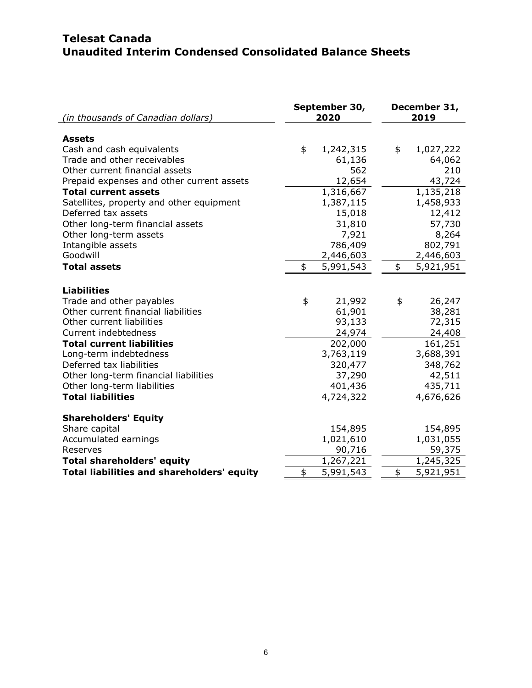# **Telesat Canada Unaudited Interim Condensed Consolidated Balance Sheets**

| (in thousands of Canadian dollars)                       | September 30,<br>2020 | December 31,<br>2019 |  |  |
|----------------------------------------------------------|-----------------------|----------------------|--|--|
| <b>Assets</b>                                            |                       |                      |  |  |
| Cash and cash equivalents                                | \$<br>1,242,315       | \$<br>1,027,222      |  |  |
| Trade and other receivables                              | 61,136                | 64,062               |  |  |
| Other current financial assets                           | 562                   | 210                  |  |  |
| Prepaid expenses and other current assets                | 12,654                | 43,724               |  |  |
| <b>Total current assets</b>                              | 1,316,667             | 1,135,218            |  |  |
| Satellites, property and other equipment                 | 1,387,115             | 1,458,933            |  |  |
| Deferred tax assets                                      | 15,018                | 12,412               |  |  |
| Other long-term financial assets                         | 31,810                | 57,730               |  |  |
| Other long-term assets                                   | 7,921                 | 8,264                |  |  |
| Intangible assets                                        | 786,409               | 802,791              |  |  |
| Goodwill                                                 | 2,446,603             | 2,446,603            |  |  |
| <b>Total assets</b>                                      | 5,991,543<br>\$       | 5,921,951<br>\$      |  |  |
|                                                          |                       |                      |  |  |
| <b>Liabilities</b>                                       |                       |                      |  |  |
| Trade and other payables                                 | \$<br>21,992          | 26,247<br>\$         |  |  |
| Other current financial liabilities                      | 61,901                | 38,281               |  |  |
| Other current liabilities                                | 93,133                | 72,315               |  |  |
| Current indebtedness<br><b>Total current liabilities</b> | 24,974                | 24,408               |  |  |
|                                                          | 202,000<br>3,763,119  | 161,251              |  |  |
| Long-term indebtedness<br>Deferred tax liabilities       | 320,477               | 3,688,391<br>348,762 |  |  |
| Other long-term financial liabilities                    | 37,290                | 42,511               |  |  |
| Other long-term liabilities                              | 401,436               | 435,711              |  |  |
| <b>Total liabilities</b>                                 | 4,724,322             | 4,676,626            |  |  |
|                                                          |                       |                      |  |  |
| <b>Shareholders' Equity</b>                              |                       |                      |  |  |
| Share capital                                            | 154,895               | 154,895              |  |  |
| Accumulated earnings                                     | 1,021,610             | 1,031,055            |  |  |
| Reserves                                                 | 90,716                | 59,375               |  |  |
| <b>Total shareholders' equity</b>                        | 1,267,221             | 1,245,325            |  |  |
| <b>Total liabilities and shareholders' equity</b>        | \$<br>5,991,543       | \$<br>5,921,951      |  |  |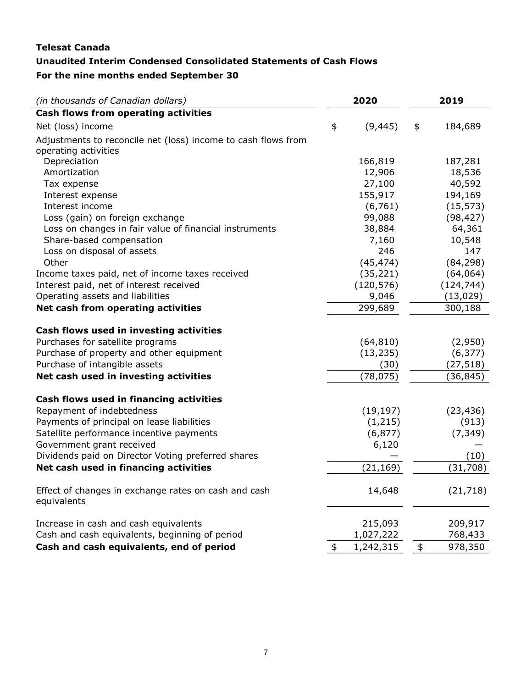# **Telesat Canada Unaudited Interim Condensed Consolidated Statements of Cash Flows For the nine months ended September 30**

| (in thousands of Canadian dollars)                                                    | 2020            | 2019          |
|---------------------------------------------------------------------------------------|-----------------|---------------|
| Cash flows from operating activities                                                  |                 |               |
| Net (loss) income                                                                     | \$<br>(9, 445)  | \$<br>184,689 |
| Adjustments to reconcile net (loss) income to cash flows from<br>operating activities |                 |               |
| Depreciation                                                                          | 166,819         | 187,281       |
| Amortization                                                                          | 12,906          | 18,536        |
| Tax expense                                                                           | 27,100          | 40,592        |
| Interest expense                                                                      | 155,917         | 194,169       |
| Interest income                                                                       | (6, 761)        | (15, 573)     |
| Loss (gain) on foreign exchange                                                       | 99,088          | (98, 427)     |
| Loss on changes in fair value of financial instruments                                | 38,884          | 64,361        |
| Share-based compensation                                                              | 7,160           | 10,548        |
| Loss on disposal of assets                                                            | 246             | 147           |
| Other                                                                                 | (45, 474)       | (84, 298)     |
| Income taxes paid, net of income taxes received                                       | (35, 221)       | (64,064)      |
| Interest paid, net of interest received                                               | (120, 576)      | (124, 744)    |
| Operating assets and liabilities                                                      | 9,046           | (13, 029)     |
| Net cash from operating activities                                                    | 299,689         | 300,188       |
| Cash flows used in investing activities                                               |                 |               |
| Purchases for satellite programs                                                      | (64, 810)       | (2,950)       |
| Purchase of property and other equipment                                              | (13, 235)       | (6, 377)      |
| Purchase of intangible assets                                                         | (30)            | (27, 518)     |
| Net cash used in investing activities                                                 | (78, 075)       | (36, 845)     |
| Cash flows used in financing activities                                               |                 |               |
| Repayment of indebtedness                                                             | (19, 197)       | (23, 436)     |
| Payments of principal on lease liabilities                                            | (1,215)         | (913)         |
| Satellite performance incentive payments                                              | (6, 877)        | (7, 349)      |
| Government grant received                                                             | 6,120           |               |
| Dividends paid on Director Voting preferred shares                                    |                 | (10)          |
| Net cash used in financing activities                                                 | (21, 169)       | (31, 708)     |
| Effect of changes in exchange rates on cash and cash<br>equivalents                   | 14,648          | (21, 718)     |
| Increase in cash and cash equivalents                                                 | 215,093         | 209,917       |
| Cash and cash equivalents, beginning of period                                        | 1,027,222       | 768,433       |
| Cash and cash equivalents, end of period                                              | \$<br>1,242,315 | \$<br>978,350 |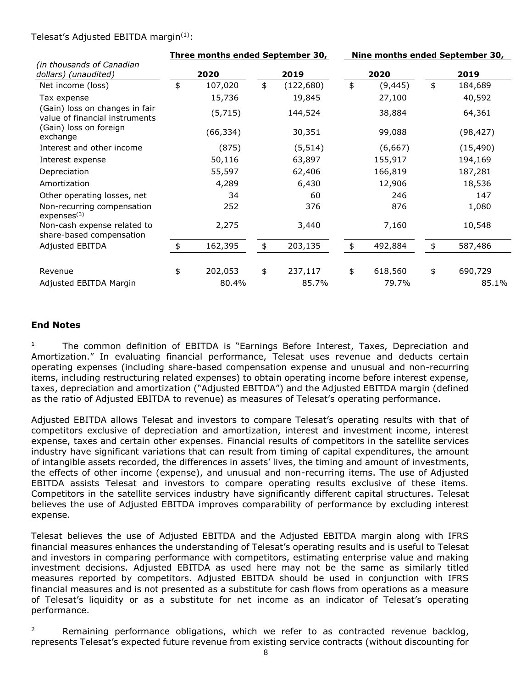#### Telesat's Adjusted EBITDA margin $(1)$ :

|                                                                  | Three months ended September 30, |           |    | Nine months ended September 30, |    |          |      |           |  |
|------------------------------------------------------------------|----------------------------------|-----------|----|---------------------------------|----|----------|------|-----------|--|
| (in thousands of Canadian<br>dollars) (unaudited)                | 2020                             |           |    | 2019                            |    | 2020     | 2019 |           |  |
| Net income (loss)                                                | \$                               | 107,020   | \$ | (122, 680)                      | \$ | (9, 445) | \$   | 184,689   |  |
| Tax expense                                                      |                                  | 15,736    |    | 19,845                          |    | 27,100   |      | 40,592    |  |
| (Gain) loss on changes in fair<br>value of financial instruments |                                  | (5, 715)  |    | 144,524                         |    | 38,884   |      | 64,361    |  |
| (Gain) loss on foreign<br>exchange                               |                                  | (66, 334) |    | 30,351                          |    | 99,088   |      | (98, 427) |  |
| Interest and other income                                        |                                  | (875)     |    | (5, 514)                        |    | (6,667)  |      | (15, 490) |  |
| Interest expense                                                 |                                  | 50,116    |    | 63,897                          |    | 155,917  |      | 194,169   |  |
| Depreciation                                                     |                                  | 55,597    |    | 62,406                          |    | 166,819  |      | 187,281   |  |
| Amortization                                                     |                                  | 4,289     |    | 6,430                           |    | 12,906   |      | 18,536    |  |
| Other operating losses, net                                      |                                  | 34        |    | 60                              |    | 246      |      | 147       |  |
| Non-recurring compensation<br>express <sup>(3)</sup>             |                                  | 252       |    | 376                             |    | 876      |      | 1,080     |  |
| Non-cash expense related to<br>share-based compensation          |                                  | 2,275     |    | 3,440                           |    | 7,160    |      | 10,548    |  |
| Adjusted EBITDA                                                  | $\frac{1}{2}$                    | 162,395   | \$ | 203,135                         | \$ | 492,884  | \$   | 587,486   |  |
| Revenue                                                          | \$                               | 202,053   | \$ | 237,117                         | \$ | 618,560  | \$   | 690,729   |  |
| Adjusted EBITDA Margin                                           |                                  | 80.4%     |    | 85.7%                           |    | 79.7%    |      | 85.1%     |  |

#### **End Notes**

<sup>1</sup> The common definition of EBITDA is "Earnings Before Interest, Taxes, Depreciation and Amortization." In evaluating financial performance, Telesat uses revenue and deducts certain operating expenses (including share-based compensation expense and unusual and non-recurring items, including restructuring related expenses) to obtain operating income before interest expense, taxes, depreciation and amortization ("Adjusted EBITDA") and the Adjusted EBITDA margin (defined as the ratio of Adjusted EBITDA to revenue) as measures of Telesat's operating performance.

Adjusted EBITDA allows Telesat and investors to compare Telesat's operating results with that of competitors exclusive of depreciation and amortization, interest and investment income, interest expense, taxes and certain other expenses. Financial results of competitors in the satellite services industry have significant variations that can result from timing of capital expenditures, the amount of intangible assets recorded, the differences in assets' lives, the timing and amount of investments, the effects of other income (expense), and unusual and non-recurring items. The use of Adjusted EBITDA assists Telesat and investors to compare operating results exclusive of these items. Competitors in the satellite services industry have significantly different capital structures. Telesat believes the use of Adjusted EBITDA improves comparability of performance by excluding interest expense.

Telesat believes the use of Adjusted EBITDA and the Adjusted EBITDA margin along with IFRS financial measures enhances the understanding of Telesat's operating results and is useful to Telesat and investors in comparing performance with competitors, estimating enterprise value and making investment decisions. Adjusted EBITDA as used here may not be the same as similarly titled measures reported by competitors. Adjusted EBITDA should be used in conjunction with IFRS financial measures and is not presented as a substitute for cash flows from operations as a measure of Telesat's liquidity or as a substitute for net income as an indicator of Telesat's operating performance.

<sup>2</sup> Remaining performance obligations, which we refer to as contracted revenue backlog, represents Telesat's expected future revenue from existing service contracts (without discounting for